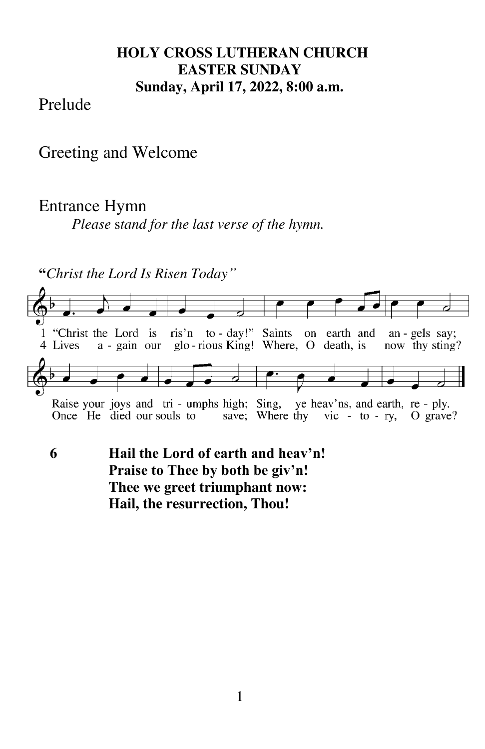#### **HOLY CROSS LUTHERAN CHURCH EASTER SUNDAY Sunday, April 17, 2022, 8:00 a.m.**

#### Prelude

Greeting and Welcome

#### Entrance Hymn

*Please* s*tand for the last verse of the hymn.* 

**"***Christ the Lord Is Risen Today"*



**6 Hail the Lord of earth and heav'n! Praise to Thee by both be giv'n! Thee we greet triumphant now: Hail, the resurrection, Thou!**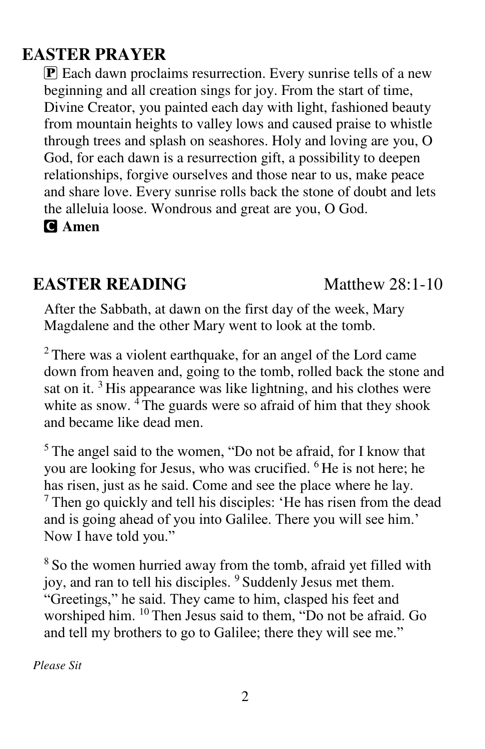## **EASTER PRAYER**

**P** Each dawn proclaims resurrection. Every sunrise tells of a new beginning and all creation sings for joy. From the start of time, Divine Creator, you painted each day with light, fashioned beauty from mountain heights to valley lows and caused praise to whistle through trees and splash on seashores. Holy and loving are you, O God, for each dawn is a resurrection gift, a possibility to deepen relationships, forgive ourselves and those near to us, make peace and share love. Every sunrise rolls back the stone of doubt and lets the alleluia loose. Wondrous and great are you, O God.

C **Amen**

## **EASTER READING Matthew 28:1-10**

After the Sabbath, at dawn on the first day of the week, Mary Magdalene and the other Mary went to look at the tomb.

 $2$  There was a violent earthquake, for an angel of the Lord came down from heaven and, going to the tomb, rolled back the stone and sat on it.  $3$  His appearance was like lightning, and his clothes were white as snow.  $\frac{1}{4}$ The guards were so afraid of him that they shook and became like dead men.

 $5$  The angel said to the women, "Do not be afraid, for I know that you are looking for Jesus, who was crucified. <sup>6</sup>He is not here; he has risen, just as he said. Come and see the place where he lay.  $<sup>7</sup>$  Then go quickly and tell his disciples: 'He has risen from the dead</sup> and is going ahead of you into Galilee. There you will see him.' Now I have told you."

<sup>8</sup> So the women hurried away from the tomb, afraid yet filled with joy, and ran to tell his disciples. <sup>9</sup> Suddenly Jesus met them. "Greetings," he said. They came to him, clasped his feet and worshiped him. <sup>10</sup> Then Jesus said to them, "Do not be afraid. Go and tell my brothers to go to Galilee; there they will see me."

*Please Sit*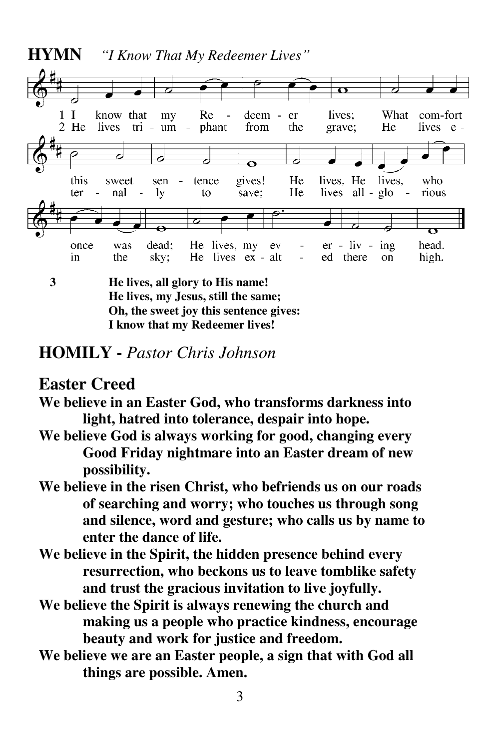

**He lives, my Jesus, still the same; Oh, the sweet joy this sentence gives: I know that my Redeemer lives!** 

#### **HOMILY -** *Pastor Chris Johnson*

#### **Easter Creed**

- **We believe in an Easter God, who transforms darkness into light, hatred into tolerance, despair into hope.**
- **We believe God is always working for good, changing every Good Friday nightmare into an Easter dream of new possibility.**
- **We believe in the risen Christ, who befriends us on our roads of searching and worry; who touches us through song and silence, word and gesture; who calls us by name to enter the dance of life.**
- **We believe in the Spirit, the hidden presence behind every resurrection, who beckons us to leave tomblike safety and trust the gracious invitation to live joyfully.**
- **We believe the Spirit is always renewing the church and making us a people who practice kindness, encourage beauty and work for justice and freedom.**
- **We believe we are an Easter people, a sign that with God all things are possible. Amen.**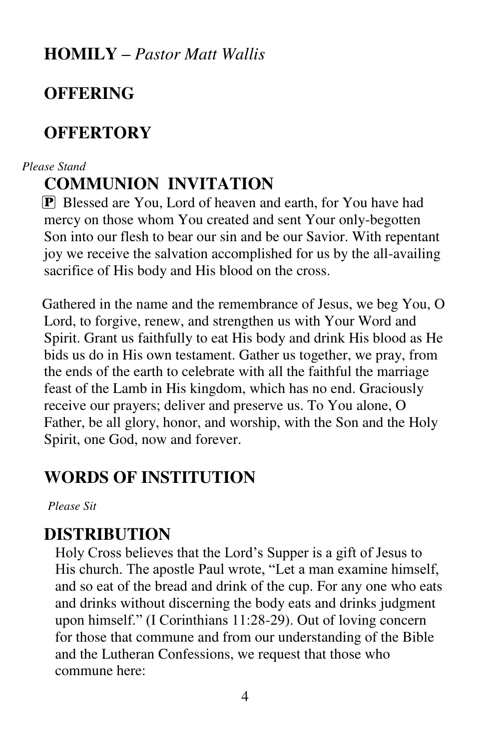**HOMILY –** *Pastor Matt Wallis* 

## **OFFERING**

## **OFFERTORY**

#### *Please Stand*

## **COMMUNION INVITATION**

 $\mathbf{P}$  Blessed are You, Lord of heaven and earth, for You have had mercy on those whom You created and sent Your only-begotten Son into our flesh to bear our sin and be our Savior. With repentant joy we receive the salvation accomplished for us by the all-availing sacrifice of His body and His blood on the cross.

Gathered in the name and the remembrance of Jesus, we beg You, O Lord, to forgive, renew, and strengthen us with Your Word and Spirit. Grant us faithfully to eat His body and drink His blood as He bids us do in His own testament. Gather us together, we pray, from the ends of the earth to celebrate with all the faithful the marriage feast of the Lamb in His kingdom, which has no end. Graciously receive our prayers; deliver and preserve us. To You alone, O Father, be all glory, honor, and worship, with the Son and the Holy Spirit, one God, now and forever.

## **WORDS OF INSTITUTION**

*Please Sit* 

## **DISTRIBUTION**

Holy Cross believes that the Lord's Supper is a gift of Jesus to His church. The apostle Paul wrote, "Let a man examine himself, and so eat of the bread and drink of the cup. For any one who eats and drinks without discerning the body eats and drinks judgment upon himself." (I Corinthians 11:28-29). Out of loving concern for those that commune and from our understanding of the Bible and the Lutheran Confessions, we request that those who commune here: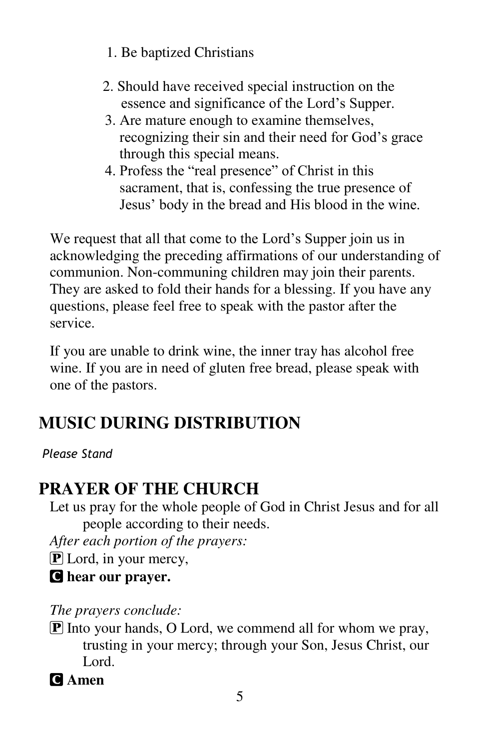- 1. Be baptized Christians
- 2. Should have received special instruction on the essence and significance of the Lord's Supper.
- 3. Are mature enough to examine themselves, recognizing their sin and their need for God's grace through this special means.
- 4. Profess the "real presence" of Christ in this sacrament, that is, confessing the true presence of Jesus' body in the bread and His blood in the wine.

We request that all that come to the Lord's Supper join us in acknowledging the preceding affirmations of our understanding of communion. Non-communing children may join their parents. They are asked to fold their hands for a blessing. If you have any questions, please feel free to speak with the pastor after the service.

If you are unable to drink wine, the inner tray has alcohol free wine. If you are in need of gluten free bread, please speak with one of the pastors.

# **MUSIC DURING DISTRIBUTION**

## *Please Stand*

# **PRAYER OF THE CHURCH**

Let us pray for the whole people of God in Christ Jesus and for all people according to their needs.

*After each portion of the prayers:* 

**P** Lord, in your mercy,

C **hear our prayer.** 

*The prayers conclude:* 

 $\boxed{\mathbf{P}}$  Into your hands, O Lord, we commend all for whom we pray, trusting in your mercy; through your Son, Jesus Christ, our Lord.

C **Amen**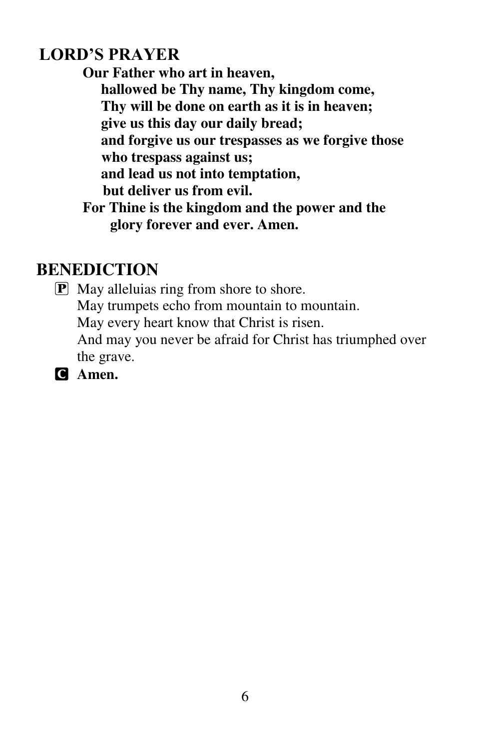## **LORD'S PRAYER**

**Our Father who art in heaven, hallowed be Thy name, Thy kingdom come, Thy will be done on earth as it is in heaven; give us this day our daily bread; and forgive us our trespasses as we forgive those who trespass against us; and lead us not into temptation, but deliver us from evil. For Thine is the kingdom and the power and the glory forever and ever. Amen.** 

## **BENEDICTION**

P May alleluias ring from shore to shore. May trumpets echo from mountain to mountain. May every heart know that Christ is risen. And may you never be afraid for Christ has triumphed over the grave.

C **Amen.**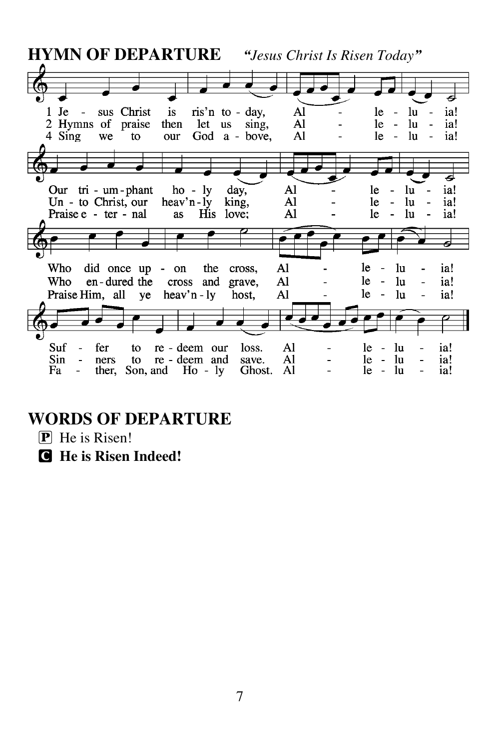| <b>HYMN OF DEPARTURE</b><br>"Jesus Christ Is Risen Today"                                                                                    |                                            |                                           |                                                                 |
|----------------------------------------------------------------------------------------------------------------------------------------------|--------------------------------------------|-------------------------------------------|-----------------------------------------------------------------|
|                                                                                                                                              |                                            |                                           |                                                                 |
| ris'n to - day,<br>Je<br>sus Christ<br>$\frac{1}{1}$<br>let<br>2 Hymns of praise<br>then<br>us<br>4 Sing<br>God a - bove,<br>to<br>we<br>our | Al<br>Al<br>sing,<br>Al                    | le<br>le<br>le                            | ia!<br>lu<br>ia!<br>lu<br>lu<br>ia!<br>$\overline{\phantom{0}}$ |
|                                                                                                                                              |                                            |                                           |                                                                 |
| tri - um - phant ho - ly day,<br>Our<br>Un - to Christ, our heav'n-ly<br>His love;<br>Praise e - ter - nal<br><b>as</b>                      | Al<br>king,<br>Al<br>Al                    | le<br>le<br>1e                            | lu<br>ia!<br>lu<br>ia!<br>lu<br>ia!                             |
|                                                                                                                                              |                                            |                                           |                                                                 |
| Who<br>did once up - on<br>the<br>Who<br>en-dured the cross<br>and grave,<br>Praise Him, all ye heav'n - ly                                  | Al<br>cross,<br>Al<br>Al<br>host,          | le.<br>lu<br>le<br>lu<br>le.<br>lu        | ia!<br>ia!<br>ia!                                               |
|                                                                                                                                              |                                            |                                           |                                                                 |
| Suf<br>re - deem our<br>fer<br>to<br>Sin<br>re - deem and<br>to.<br>ners<br>Fa<br>ther,<br>Son, and $\text{Ho} - \text{ly}$                  | Al<br>loss.<br>Al<br>save.<br>Ghost.<br>Al | <b>le</b><br>lu<br>lu<br>le.<br>lu<br>le. | ia!<br>ia!<br>ia!                                               |

# **WORDS OF DEPARTURE**

- P He is Risen!
- C **He is Risen Indeed!**